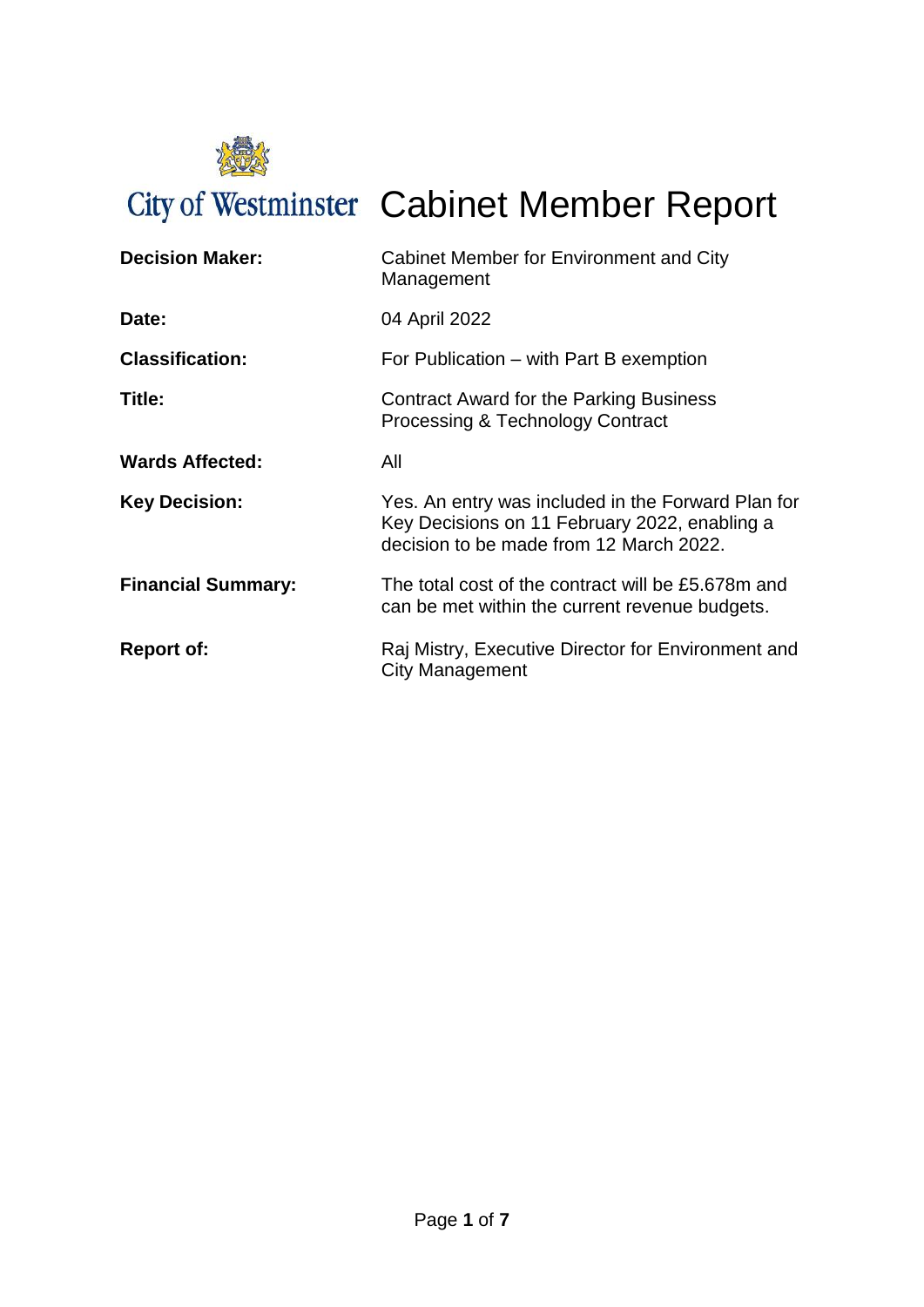

City of Westminster Cabinet Member Report

| <b>Decision Maker:</b>    | Cabinet Member for Environment and City<br>Management                                                                                          |
|---------------------------|------------------------------------------------------------------------------------------------------------------------------------------------|
| Date:                     | 04 April 2022                                                                                                                                  |
| <b>Classification:</b>    | For Publication – with Part B exemption                                                                                                        |
| Title:                    | Contract Award for the Parking Business<br>Processing & Technology Contract                                                                    |
| <b>Wards Affected:</b>    | All                                                                                                                                            |
| <b>Key Decision:</b>      | Yes. An entry was included in the Forward Plan for<br>Key Decisions on 11 February 2022, enabling a<br>decision to be made from 12 March 2022. |
| <b>Financial Summary:</b> | The total cost of the contract will be £5.678m and<br>can be met within the current revenue budgets.                                           |
| <b>Report of:</b>         | Raj Mistry, Executive Director for Environment and<br>City Management                                                                          |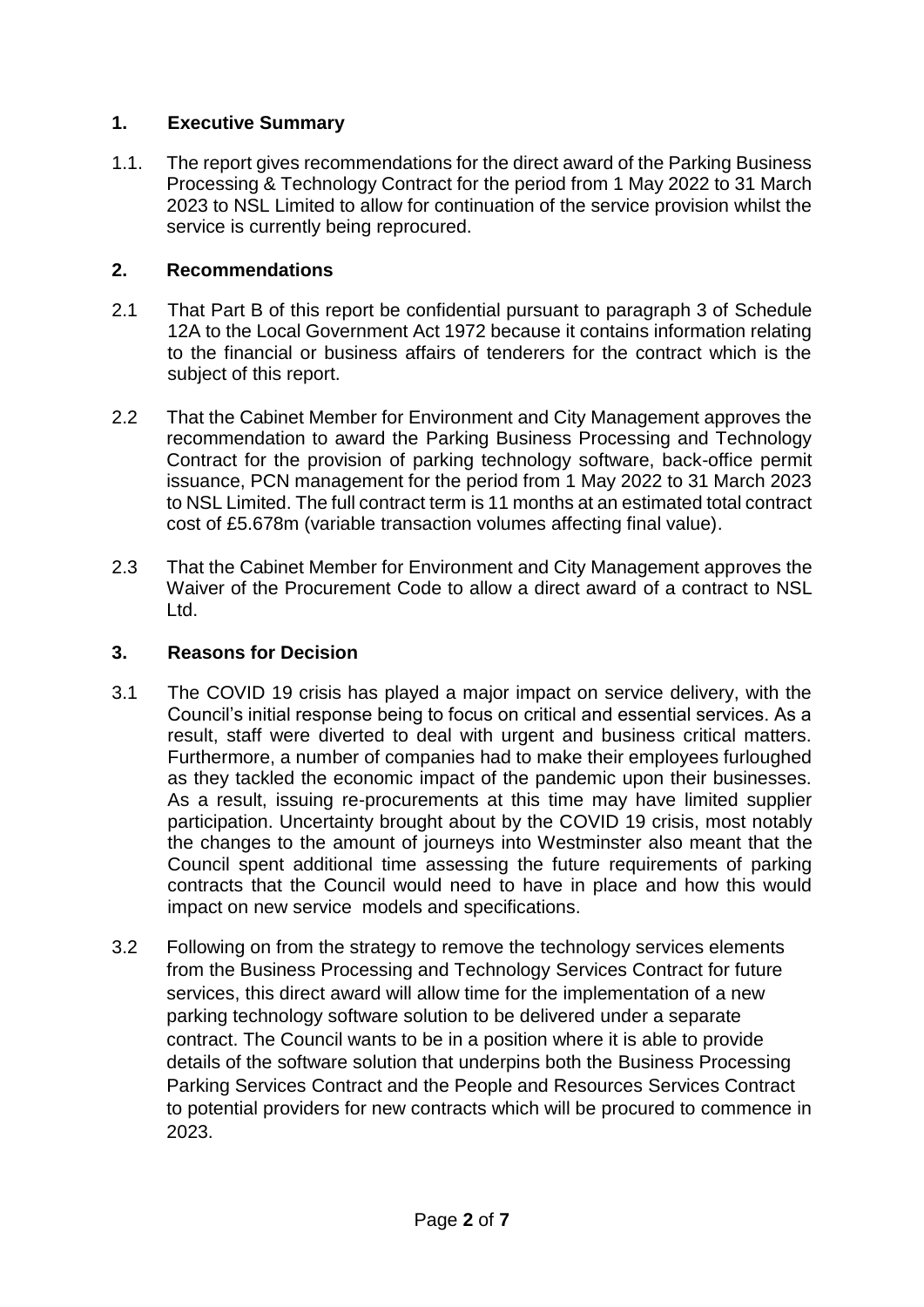## **1. Executive Summary**

1.1. The report gives recommendations for the direct award of the Parking Business Processing & Technology Contract for the period from 1 May 2022 to 31 March 2023 to NSL Limited to allow for continuation of the service provision whilst the service is currently being reprocured.

## **2. Recommendations**

- 2.1 That Part B of this report be confidential pursuant to paragraph 3 of Schedule 12A to the Local Government Act 1972 because it contains information relating to the financial or business affairs of tenderers for the contract which is the subject of this report.
- 2.2 That the Cabinet Member for Environment and City Management approves the recommendation to award the Parking Business Processing and Technology Contract for the provision of parking technology software, back-office permit issuance, PCN management for the period from 1 May 2022 to 31 March 2023 to NSL Limited. The full contract term is 11 months at an estimated total contract cost of £5.678m (variable transaction volumes affecting final value).
- 2.3 That the Cabinet Member for Environment and City Management approves the Waiver of the Procurement Code to allow a direct award of a contract to NSL Ltd.

## **3. Reasons for Decision**

- 3.1 The COVID 19 crisis has played a major impact on service delivery, with the Council's initial response being to focus on critical and essential services. As a result, staff were diverted to deal with urgent and business critical matters. Furthermore, a number of companies had to make their employees furloughed as they tackled the economic impact of the pandemic upon their businesses. As a result, issuing re-procurements at this time may have limited supplier participation. Uncertainty brought about by the COVID 19 crisis, most notably the changes to the amount of journeys into Westminster also meant that the Council spent additional time assessing the future requirements of parking contracts that the Council would need to have in place and how this would impact on new service models and specifications.
- 3.2 Following on from the strategy to remove the technology services elements from the Business Processing and Technology Services Contract for future services, this direct award will allow time for the implementation of a new parking technology software solution to be delivered under a separate contract. The Council wants to be in a position where it is able to provide details of the software solution that underpins both the Business Processing Parking Services Contract and the People and Resources Services Contract to potential providers for new contracts which will be procured to commence in 2023.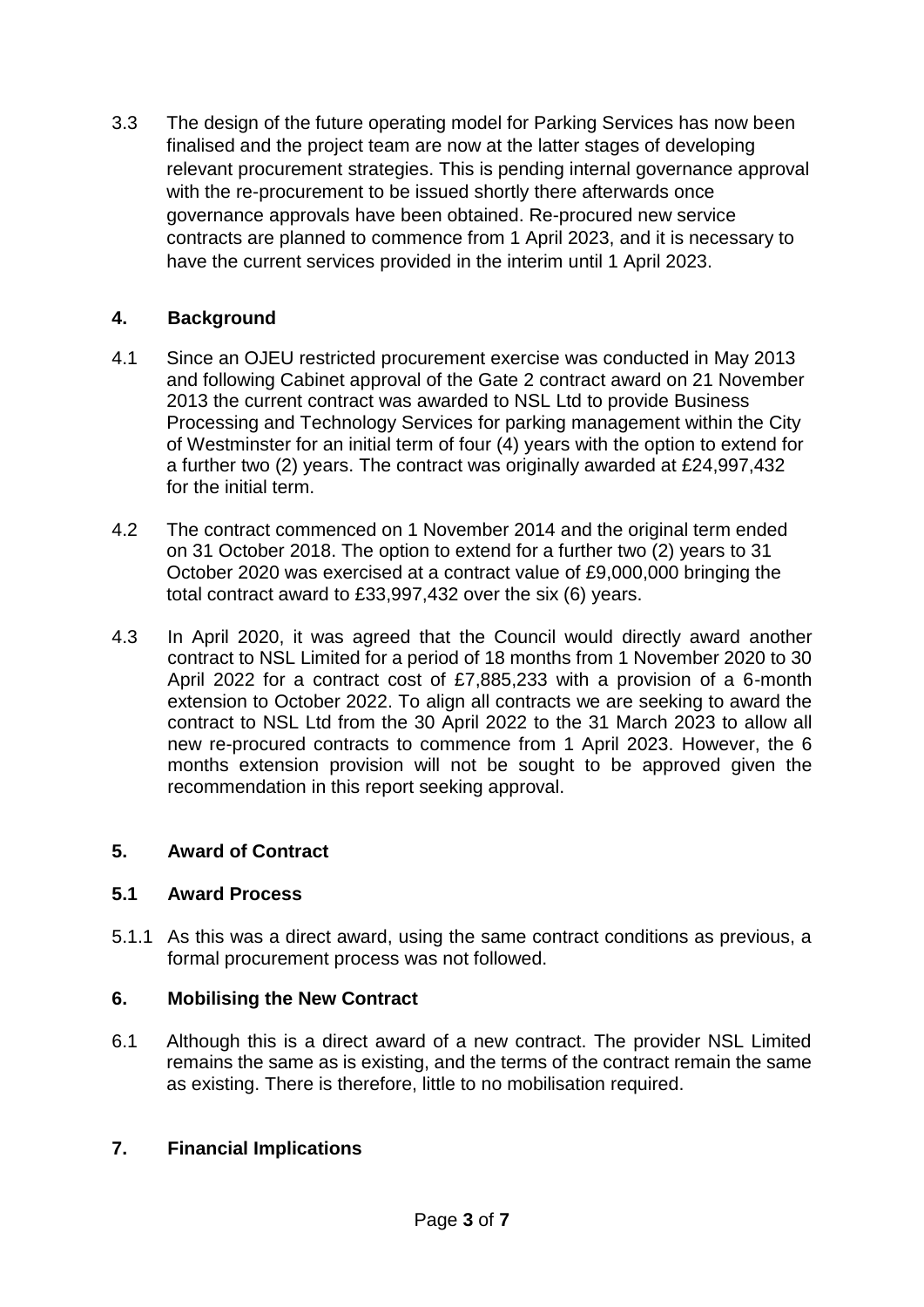3.3 The design of the future operating model for Parking Services has now been finalised and the project team are now at the latter stages of developing relevant procurement strategies. This is pending internal governance approval with the re-procurement to be issued shortly there afterwards once governance approvals have been obtained. Re-procured new service contracts are planned to commence from 1 April 2023, and it is necessary to have the current services provided in the interim until 1 April 2023.

# **4. Background**

- 4.1 Since an OJEU restricted procurement exercise was conducted in May 2013 and following Cabinet approval of the Gate 2 contract award on 21 November 2013 the current contract was awarded to NSL Ltd to provide Business Processing and Technology Services for parking management within the City of Westminster for an initial term of four (4) years with the option to extend for a further two (2) years. The contract was originally awarded at £24,997,432 for the initial term.
- 4.2 The contract commenced on 1 November 2014 and the original term ended on 31 October 2018. The option to extend for a further two (2) years to 31 October 2020 was exercised at a contract value of £9,000,000 bringing the total contract award to £33,997,432 over the six (6) years.
- 4.3 In April 2020, it was agreed that the Council would directly award another contract to NSL Limited for a period of 18 months from 1 November 2020 to 30 April 2022 for a contract cost of £7,885,233 with a provision of a 6-month extension to October 2022. To align all contracts we are seeking to award the contract to NSL Ltd from the 30 April 2022 to the 31 March 2023 to allow all new re-procured contracts to commence from 1 April 2023. However, the 6 months extension provision will not be sought to be approved given the recommendation in this report seeking approval.

## **5. Award of Contract**

## **5.1 Award Process**

5.1.1 As this was a direct award, using the same contract conditions as previous, a formal procurement process was not followed.

## **6. Mobilising the New Contract**

6.1 Although this is a direct award of a new contract. The provider NSL Limited remains the same as is existing, and the terms of the contract remain the same as existing. There is therefore, little to no mobilisation required.

## **7. Financial Implications**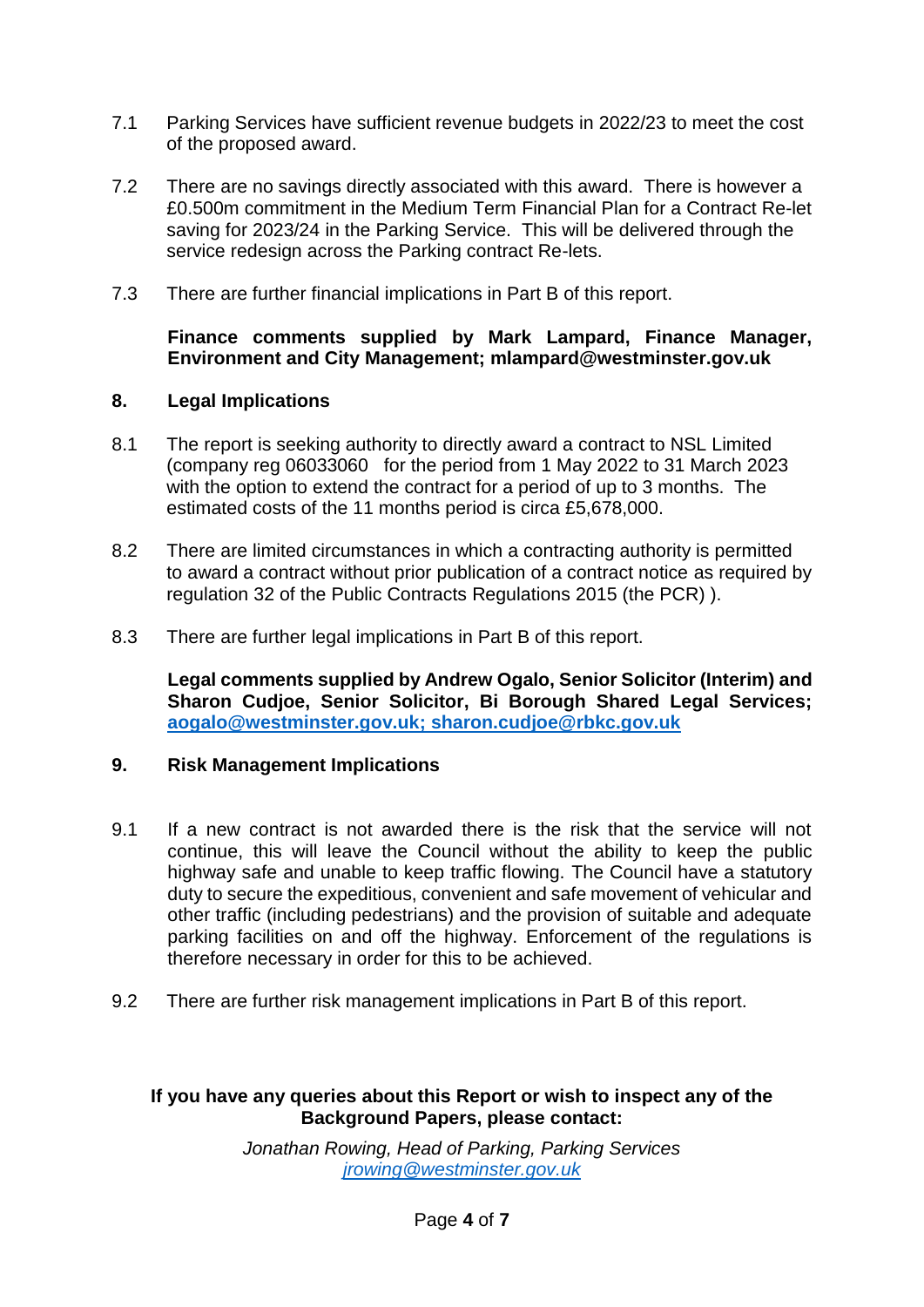- 7.1 Parking Services have sufficient revenue budgets in 2022/23 to meet the cost of the proposed award.
- 7.2 There are no savings directly associated with this award. There is however a £0.500m commitment in the Medium Term Financial Plan for a Contract Re-let saving for 2023/24 in the Parking Service. This will be delivered through the service redesign across the Parking contract Re-lets.
- 7.3 There are further financial implications in Part B of this report.

### **Finance comments supplied by Mark Lampard, Finance Manager, Environment and City Management; mlampard@westminster.gov.uk**

## **8. Legal Implications**

- 8.1 The report is seeking authority to directly award a contract to NSL Limited (company reg 06033060 for the period from 1 May 2022 to 31 March 2023 with the option to extend the contract for a period of up to 3 months. The estimated costs of the 11 months period is circa £5,678,000.
- 8.2 There are limited circumstances in which a contracting authority is permitted to award a contract without prior publication of a contract notice as required by regulation 32 of the Public Contracts Regulations 2015 (the PCR) ).
- 8.3 There are further legal implications in Part B of this report.

**Legal comments supplied by Andrew Ogalo, Senior Solicitor (Interim) and Sharon Cudjoe, Senior Solicitor, Bi Borough Shared Legal Services; [aogalo@westminster.gov.uk;](mailto:aogalo@westminster.gov.uk) sharon.cudjoe@rbkc.gov.uk**

#### **9. Risk Management Implications**

- 9.1 If a new contract is not awarded there is the risk that the service will not continue, this will leave the Council without the ability to keep the public highway safe and unable to keep traffic flowing. The Council have a statutory duty to secure the expeditious, convenient and safe movement of vehicular and other traffic (including pedestrians) and the provision of suitable and adequate parking facilities on and off the highway. Enforcement of the regulations is therefore necessary in order for this to be achieved.
- 9.2 There are further risk management implications in Part B of this report.

## **If you have any queries about this Report or wish to inspect any of the Background Papers, please contact:**

*Jonathan Rowing, Head of Parking, Parking Services jrowin[g@westminster.gov.uk](mailto:dbudds@westminster.go.uk)*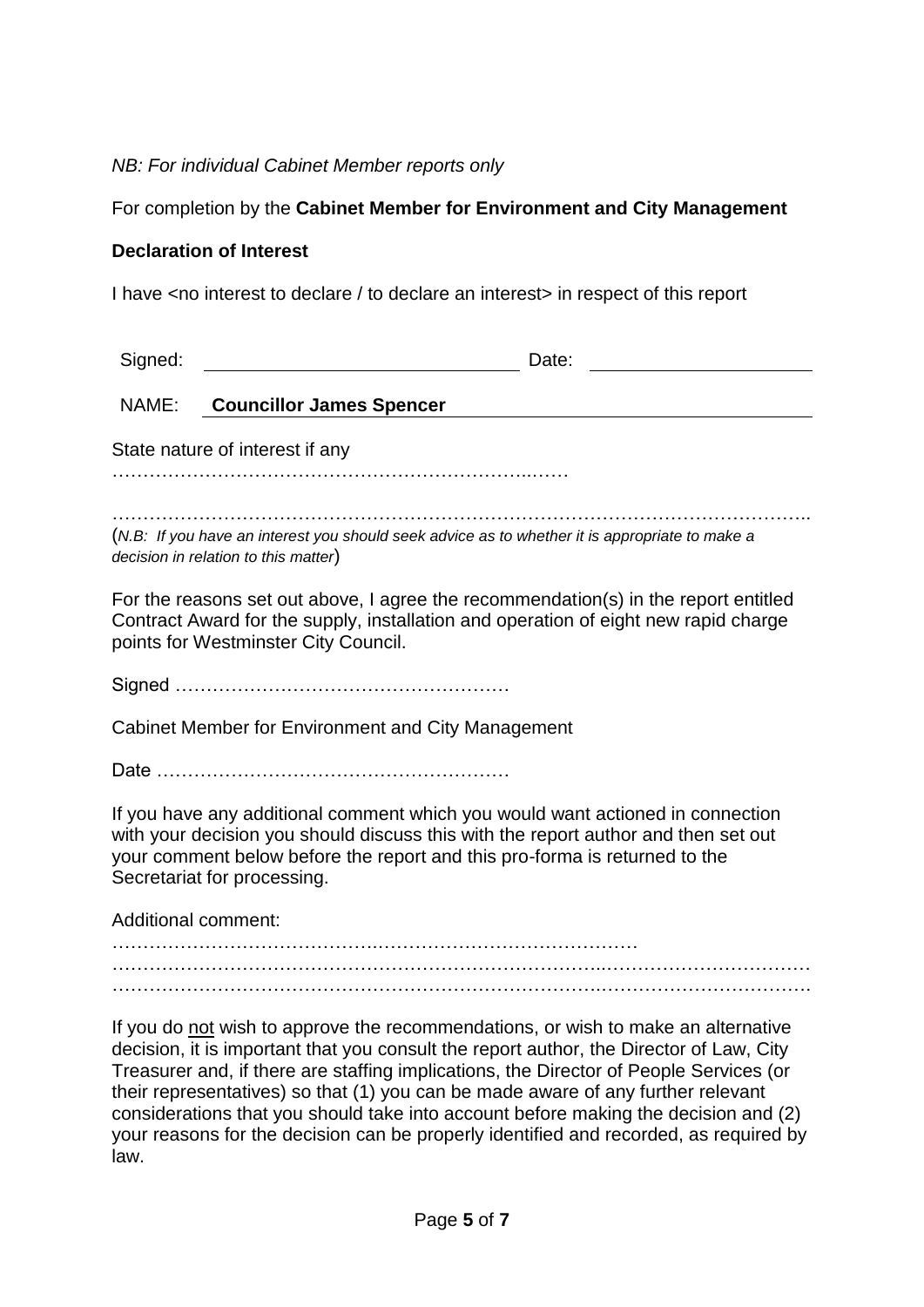## *NB: For individual Cabinet Member reports only*

## For completion by the **Cabinet Member for Environment and City Management**

#### **Declaration of Interest**

I have <no interest to declare / to declare an interest> in respect of this report

| Signed:                                                                                                                                                                                                                                                                           | Date:                           |
|-----------------------------------------------------------------------------------------------------------------------------------------------------------------------------------------------------------------------------------------------------------------------------------|---------------------------------|
| NAME:                                                                                                                                                                                                                                                                             | <b>Councillor James Spencer</b> |
| State nature of interest if any                                                                                                                                                                                                                                                   |                                 |
|                                                                                                                                                                                                                                                                                   |                                 |
| (N.B: If you have an interest you should seek advice as to whether it is appropriate to make a<br>decision in relation to this matter)                                                                                                                                            |                                 |
| For the reasons set out above, I agree the recommendation(s) in the report entitled<br>Contract Award for the supply, installation and operation of eight new rapid charge<br>points for Westminster City Council.                                                                |                                 |
|                                                                                                                                                                                                                                                                                   |                                 |
| Cabinet Member for Environment and City Management                                                                                                                                                                                                                                |                                 |
|                                                                                                                                                                                                                                                                                   |                                 |
| If you have any additional comment which you would want actioned in connection<br>with your decision you should discuss this with the report author and then set out<br>your comment below before the report and this pro-forma is returned to the<br>Secretariat for processing. |                                 |
| <b>Additional comment:</b>                                                                                                                                                                                                                                                        |                                 |
|                                                                                                                                                                                                                                                                                   |                                 |
|                                                                                                                                                                                                                                                                                   |                                 |
| If you do not wish to approve the recommendations, or wish to make an alternative<br>decision, it is important that you consult the report author, the Director of Law, City<br>Treasurer and, if there are staffing implications, the Director of People Services (or            |                                 |

their representatives) so that (1) you can be made aware of any further relevant considerations that you should take into account before making the decision and (2) your reasons for the decision can be properly identified and recorded, as required by law.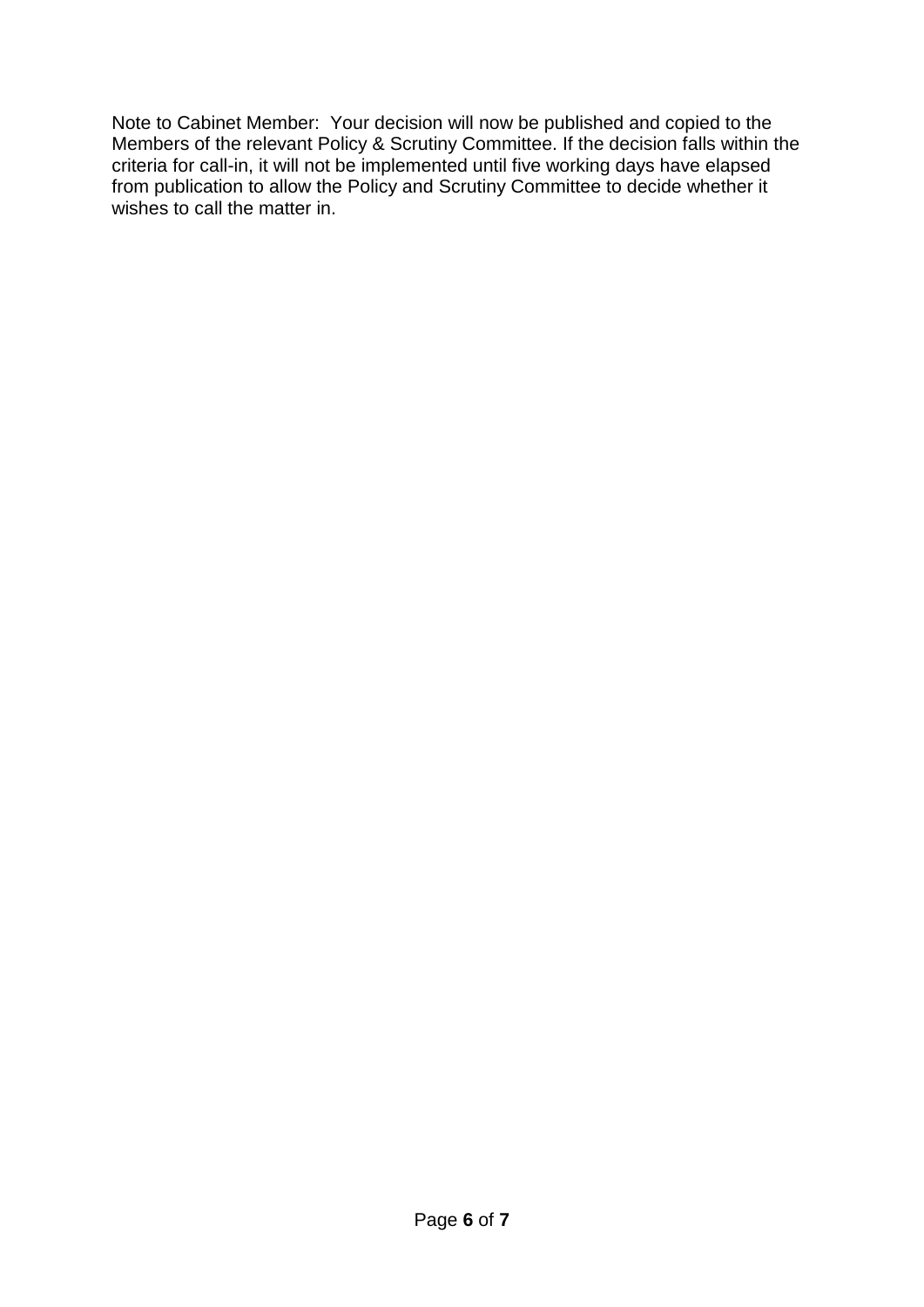Note to Cabinet Member: Your decision will now be published and copied to the Members of the relevant Policy & Scrutiny Committee. If the decision falls within the criteria for call-in, it will not be implemented until five working days have elapsed from publication to allow the Policy and Scrutiny Committee to decide whether it wishes to call the matter in.